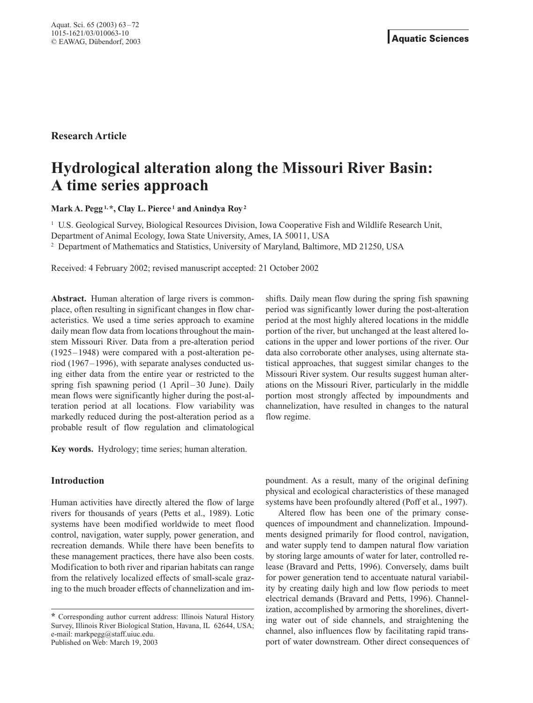**Research Article**

# **Hydrological alteration along the Missouri River Basin: A time series approach**

**Mark A. Pegg1,\*, Clay L. Pierce <sup>1</sup> and Anindya Roy2**

<sup>1</sup> U.S. Geological Survey, Biological Resources Division, Iowa Cooperative Fish and Wildlife Research Unit,

Department of Animal Ecology, Iowa State University, Ames, IA 50011, USA

<sup>2</sup> Department of Mathematics and Statistics, University of Maryland, Baltimore, MD 21250, USA

Received: 4 February 2002; revised manuscript accepted: 21 October 2002

**Abstract.** Human alteration of large rivers is commonplace, often resulting in significant changes in flow characteristics. We used a time series approach to examine daily mean flow data from locations throughout the mainstem Missouri River. Data from a pre-alteration period (1925–1948) were compared with a post-alteration period (1967–1996), with separate analyses conducted using either data from the entire year or restricted to the spring fish spawning period (1 April – 30 June). Daily mean flows were significantly higher during the post-alteration period at all locations. Flow variability was markedly reduced during the post-alteration period as a probable result of flow regulation and climatological

**Key words.** Hydrology; time series; human alteration.

## **Introduction**

Human activities have directly altered the flow of large rivers for thousands of years (Petts et al., 1989). Lotic systems have been modified worldwide to meet flood control, navigation, water supply, power generation, and recreation demands. While there have been benefits to these management practices, there have also been costs. Modification to both river and riparian habitats can range from the relatively localized effects of small-scale grazing to the much broader effects of channelization and imshifts. Daily mean flow during the spring fish spawning period was significantly lower during the post-alteration period at the most highly altered locations in the middle portion of the river, but unchanged at the least altered locations in the upper and lower portions of the river. Our data also corroborate other analyses, using alternate statistical approaches, that suggest similar changes to the Missouri River system. Our results suggest human alterations on the Missouri River, particularly in the middle portion most strongly affected by impoundments and channelization, have resulted in changes to the natural flow regime.

poundment. As a result, many of the original defining physical and ecological characteristics of these managed systems have been profoundly altered (Poff et al., 1997).

Altered flow has been one of the primary consequences of impoundment and channelization. Impoundments designed primarily for flood control, navigation, and water supply tend to dampen natural flow variation by storing large amounts of water for later, controlled release (Bravard and Petts, 1996). Conversely, dams built for power generation tend to accentuate natural variability by creating daily high and low flow periods to meet electrical demands (Bravard and Petts, 1996). Channelization, accomplished by armoring the shorelines, diverting water out of side channels, and straightening the channel, also influences flow by facilitating rapid transport of water downstream. Other direct consequences of

**<sup>\*</sup>** Corresponding author current address: Illinois Natural History Survey, Illinois River Biological Station, Havana, IL 62644, USA; e-mail: markpegg@staff.uiuc.edu. Published on Web: March 19, 2003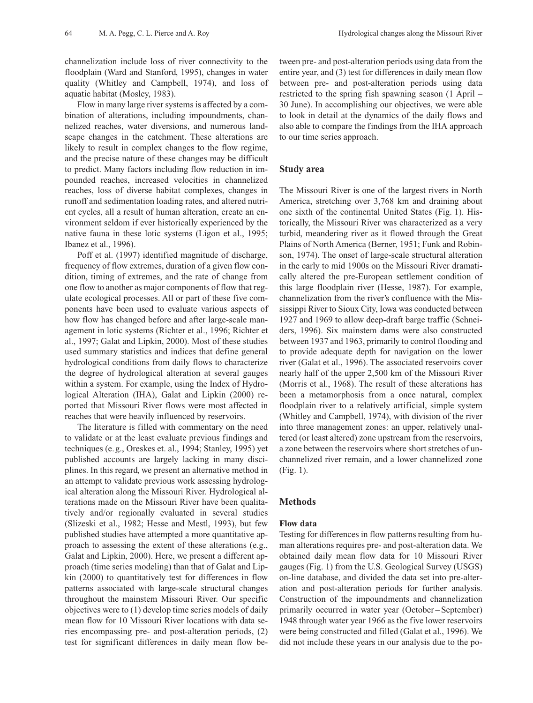channelization include loss of river connectivity to the floodplain (Ward and Stanford, 1995), changes in water quality (Whitley and Campbell, 1974), and loss of aquatic habitat (Mosley, 1983).

Flow in many large river systems is affected by a combination of alterations, including impoundments, channelized reaches, water diversions, and numerous landscape changes in the catchment. These alterations are likely to result in complex changes to the flow regime, and the precise nature of these changes may be difficult to predict. Many factors including flow reduction in impounded reaches, increased velocities in channelized reaches, loss of diverse habitat complexes, changes in runoff and sedimentation loading rates, and altered nutrient cycles, all a result of human alteration, create an environment seldom if ever historically experienced by the native fauna in these lotic systems (Ligon et al., 1995; Ibanez et al., 1996).

Poff et al. (1997) identified magnitude of discharge, frequency of flow extremes, duration of a given flow condition, timing of extremes, and the rate of change from one flow to another as major components of flow that regulate ecological processes. All or part of these five components have been used to evaluate various aspects of how flow has changed before and after large-scale management in lotic systems (Richter et al., 1996; Richter et al., 1997; Galat and Lipkin, 2000). Most of these studies used summary statistics and indices that define general hydrological conditions from daily flows to characterize the degree of hydrological alteration at several gauges within a system. For example, using the Index of Hydrological Alteration (IHA), Galat and Lipkin (2000) reported that Missouri River flows were most affected in reaches that were heavily influenced by reservoirs.

The literature is filled with commentary on the need to validate or at the least evaluate previous findings and techniques (e.g., Oreskes et. al., 1994; Stanley, 1995) yet published accounts are largely lacking in many disciplines. In this regard, we present an alternative method in an attempt to validate previous work assessing hydrological alteration along the Missouri River. Hydrological alterations made on the Missouri River have been qualitatively and/or regionally evaluated in several studies (Slizeski et al., 1982; Hesse and Mestl, 1993), but few published studies have attempted a more quantitative approach to assessing the extent of these alterations (e.g., Galat and Lipkin, 2000). Here, we present a different approach (time series modeling) than that of Galat and Lipkin (2000) to quantitatively test for differences in flow patterns associated with large-scale structural changes throughout the mainstem Missouri River. Our specific objectives were to (1) develop time series models of daily mean flow for 10 Missouri River locations with data series encompassing pre- and post-alteration periods, (2) test for significant differences in daily mean flow between pre- and post-alteration periods using data from the entire year, and (3) test for differences in daily mean flow between pre- and post-alteration periods using data restricted to the spring fish spawning season (1 April – 30 June). In accomplishing our objectives, we were able to look in detail at the dynamics of the daily flows and also able to compare the findings from the IHA approach to our time series approach.

# **Study area**

The Missouri River is one of the largest rivers in North America, stretching over 3,768 km and draining about one sixth of the continental United States (Fig. 1). Historically, the Missouri River was characterized as a very turbid, meandering river as it flowed through the Great Plains of North America (Berner, 1951; Funk and Robinson, 1974). The onset of large-scale structural alteration in the early to mid 1900s on the Missouri River dramatically altered the pre-European settlement condition of this large floodplain river (Hesse, 1987). For example, channelization from the river's confluence with the Mississippi River to Sioux City, Iowa was conducted between 1927 and 1969 to allow deep-draft barge traffic (Schneiders, 1996). Six mainstem dams were also constructed between 1937 and 1963, primarily to control flooding and to provide adequate depth for navigation on the lower river (Galat et al., 1996). The associated reservoirs cover nearly half of the upper 2,500 km of the Missouri River (Morris et al., 1968). The result of these alterations has been a metamorphosis from a once natural, complex floodplain river to a relatively artificial, simple system (Whitley and Campbell, 1974), with division of the river into three management zones: an upper, relatively unaltered (or least altered) zone upstream from the reservoirs, a zone between the reservoirs where short stretches of unchannelized river remain, and a lower channelized zone (Fig. 1).

## **Methods**

#### **Flow data**

Testing for differences in flow patterns resulting from human alterations requires pre- and post-alteration data. We obtained daily mean flow data for 10 Missouri River gauges (Fig. 1) from the U.S. Geological Survey (USGS) on-line database, and divided the data set into pre-alteration and post-alteration periods for further analysis. Construction of the impoundments and channelization primarily occurred in water year (October – September) 1948 through water year 1966 as the five lower reservoirs were being constructed and filled (Galat et al., 1996). We did not include these years in our analysis due to the po-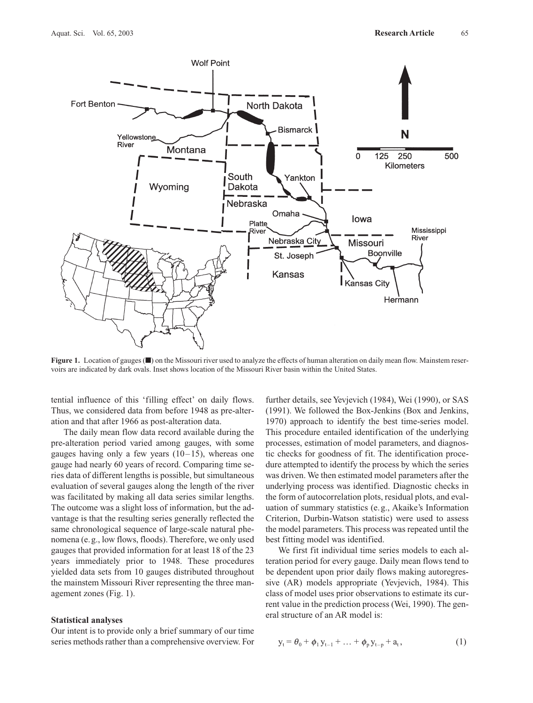

**Figure 1.** Location of gauges (■) on the Missouri river used to analyze the effects of human alteration on daily mean flow. Mainstem reservoirs are indicated by dark ovals. Inset shows location of the Missouri River basin within the United States.

tential influence of this 'filling effect' on daily flows. Thus, we considered data from before 1948 as pre-alteration and that after 1966 as post-alteration data.

The daily mean flow data record available during the pre-alteration period varied among gauges, with some gauges having only a few years  $(10-15)$ , whereas one gauge had nearly 60 years of record. Comparing time series data of different lengths is possible, but simultaneous evaluation of several gauges along the length of the river was facilitated by making all data series similar lengths. The outcome was a slight loss of information, but the advantage is that the resulting series generally reflected the same chronological sequence of large-scale natural phenomena (e.g., low flows, floods). Therefore, we only used gauges that provided information for at least 18 of the 23 years immediately prior to 1948. These procedures yielded data sets from 10 gauges distributed throughout the mainstem Missouri River representing the three management zones (Fig. 1).

#### **Statistical analyses**

Our intent is to provide only a brief summary of our time series methods rather than a comprehensive overview. For

further details, see Yevjevich (1984), Wei (1990), or SAS (1991). We followed the Box-Jenkins (Box and Jenkins, 1970) approach to identify the best time-series model. This procedure entailed identification of the underlying processes, estimation of model parameters, and diagnostic checks for goodness of fit. The identification procedure attempted to identify the process by which the series was driven. We then estimated model parameters after the underlying process was identified. Diagnostic checks in the form of autocorrelation plots, residual plots, and evaluation of summary statistics (e.g., Akaike's Information Criterion, Durbin-Watson statistic) were used to assess the model parameters. This process was repeated until the best fitting model was identified.

We first fit individual time series models to each alteration period for every gauge. Daily mean flows tend to be dependent upon prior daily flows making autoregressive (AR) models appropriate (Yevjevich, 1984). This class of model uses prior observations to estimate its current value in the prediction process (Wei, 1990). The general structure of an AR model is:

$$
y_t = \theta_0 + \phi_1 y_{t-1} + \ldots + \phi_p y_{t-p} + a_t, \qquad (1)
$$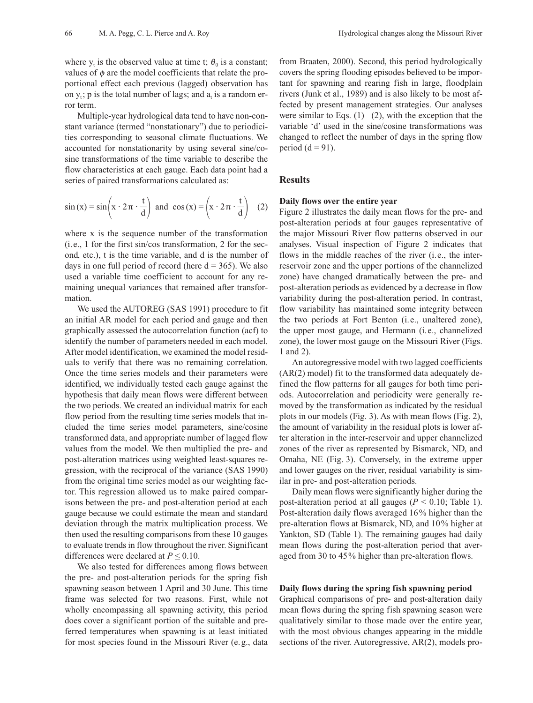where  $y_t$  is the observed value at time t;  $\theta_0$  is a constant; values of  $\phi$  are the model coefficients that relate the proportional effect each previous (lagged) observation has on  $y_t$ ; p is the total number of lags; and  $a_t$  is a random error term.

Multiple-year hydrological data tend to have non-constant variance (termed "nonstationary") due to periodicities corresponding to seasonal climate fluctuations. We accounted for nonstationarity by using several sine/cosine transformations of the time variable to describe the flow characteristics at each gauge. Each data point had a series of paired transformations calculated as:

$$
\sin(x) = \sin\left(x \cdot 2\pi \cdot \frac{t}{d}\right) \text{ and } \cos(x) = \left(x \cdot 2\pi \cdot \frac{t}{d}\right) (2)
$$

where x is the sequence number of the transformation (i.e., 1 for the first sin/cos transformation, 2 for the second, etc.), t is the time variable, and d is the number of days in one full period of record (here  $d = 365$ ). We also used a variable time coefficient to account for any remaining unequal variances that remained after transformation.

We used the AUTOREG (SAS 1991) procedure to fit an initial AR model for each period and gauge and then graphically assessed the autocorrelation function (acf) to identify the number of parameters needed in each model. After model identification, we examined the model residuals to verify that there was no remaining correlation. Once the time series models and their parameters were identified, we individually tested each gauge against the hypothesis that daily mean flows were different between the two periods. We created an individual matrix for each flow period from the resulting time series models that included the time series model parameters, sine/cosine transformed data, and appropriate number of lagged flow values from the model. We then multiplied the pre- and post-alteration matrices using weighted least-squares regression, with the reciprocal of the variance (SAS 1990) from the original time series model as our weighting factor. This regression allowed us to make paired comparisons between the pre- and post-alteration period at each gauge because we could estimate the mean and standard deviation through the matrix multiplication process. We then used the resulting comparisons from these 10 gauges to evaluate trends in flow throughout the river. Significant differences were declared at  $P \leq 0.10$ .

We also tested for differences among flows between the pre- and post-alteration periods for the spring fish spawning season between 1 April and 30 June. This time frame was selected for two reasons. First, while not wholly encompassing all spawning activity, this period does cover a significant portion of the suitable and preferred temperatures when spawning is at least initiated for most species found in the Missouri River (e.g., data from Braaten, 2000). Second, this period hydrologically covers the spring flooding episodes believed to be important for spawning and rearing fish in large, floodplain rivers (Junk et al., 1989) and is also likely to be most affected by present management strategies. Our analyses were similar to Eqs.  $(1)$  –  $(2)$ , with the exception that the variable 'd' used in the sine/cosine transformations was changed to reflect the number of days in the spring flow period  $(d = 91)$ .

#### **Results**

### **Daily flows over the entire year**

Figure 2 illustrates the daily mean flows for the pre- and post-alteration periods at four gauges representative of the major Missouri River flow patterns observed in our analyses. Visual inspection of Figure 2 indicates that flows in the middle reaches of the river (i.e., the interreservoir zone and the upper portions of the channelized zone) have changed dramatically between the pre- and post-alteration periods as evidenced by a decrease in flow variability during the post-alteration period. In contrast, flow variability has maintained some integrity between the two periods at Fort Benton (i.e., unaltered zone), the upper most gauge, and Hermann (i.e., channelized zone), the lower most gauge on the Missouri River (Figs. 1 and 2).

An autoregressive model with two lagged coefficients (AR(2) model) fit to the transformed data adequately defined the flow patterns for all gauges for both time periods. Autocorrelation and periodicity were generally removed by the transformation as indicated by the residual plots in our models (Fig. 3). As with mean flows (Fig. 2), the amount of variability in the residual plots is lower after alteration in the inter-reservoir and upper channelized zones of the river as represented by Bismarck, ND, and Omaha, NE (Fig. 3). Conversely, in the extreme upper and lower gauges on the river, residual variability is similar in pre- and post-alteration periods.

Daily mean flows were significantly higher during the post-alteration period at all gauges (*P* < 0.10; Table 1). Post-alteration daily flows averaged 16% higher than the pre-alteration flows at Bismarck, ND, and 10% higher at Yankton, SD (Table 1). The remaining gauges had daily mean flows during the post-alteration period that averaged from 30 to 45% higher than pre-alteration flows.

# **Daily flows during the spring fish spawning period**

Graphical comparisons of pre- and post-alteration daily mean flows during the spring fish spawning season were qualitatively similar to those made over the entire year, with the most obvious changes appearing in the middle sections of the river. Autoregressive, AR(2), models pro-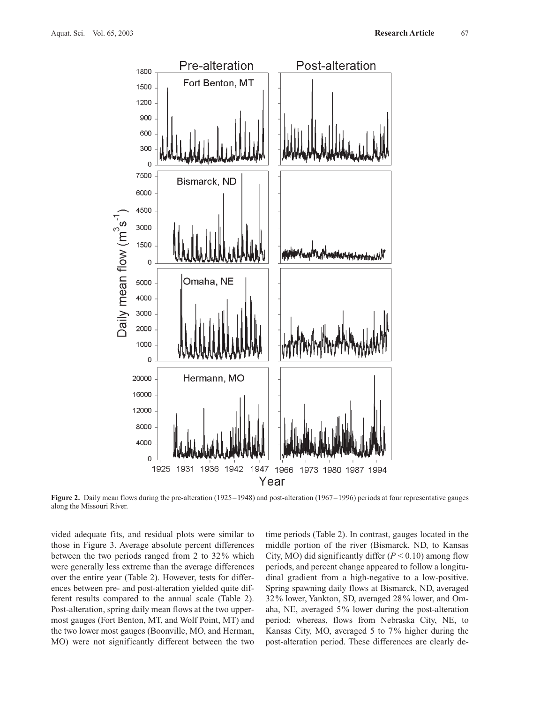

**Figure 2.** Daily mean flows during the pre-alteration (1925–1948) and post-alteration (1967–1996) periods at four representative gauges along the Missouri River.

vided adequate fits, and residual plots were similar to those in Figure 3. Average absolute percent differences between the two periods ranged from 2 to 32% which were generally less extreme than the average differences over the entire year (Table 2). However, tests for differences between pre- and post-alteration yielded quite different results compared to the annual scale (Table 2). Post-alteration, spring daily mean flows at the two uppermost gauges (Fort Benton, MT, and Wolf Point, MT) and the two lower most gauges (Boonville, MO, and Herman, MO) were not significantly different between the two time periods (Table 2). In contrast, gauges located in the middle portion of the river (Bismarck, ND, to Kansas City, MO) did significantly differ  $(P < 0.10)$  among flow periods, and percent change appeared to follow a longitudinal gradient from a high-negative to a low-positive. Spring spawning daily flows at Bismarck, ND, averaged 32% lower, Yankton, SD, averaged 28% lower, and Omaha, NE, averaged 5% lower during the post-alteration period; whereas, flows from Nebraska City, NE, to Kansas City, MO, averaged 5 to 7% higher during the post-alteration period. These differences are clearly de-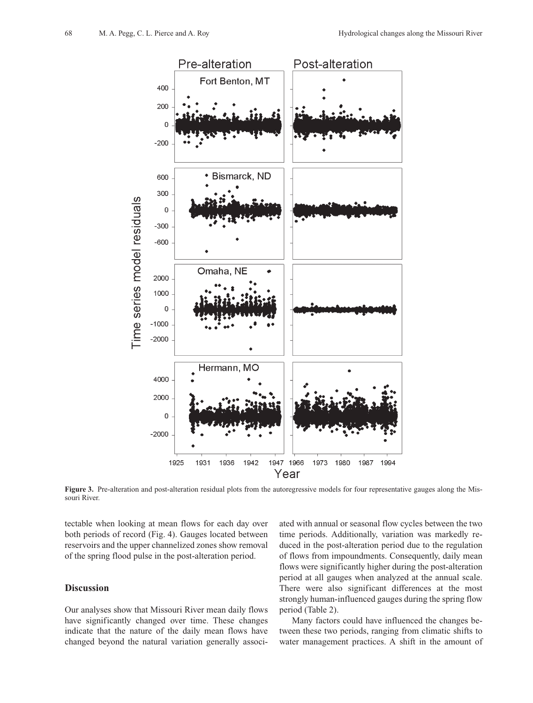

Figure 3. Pre-alteration and post-alteration residual plots from the autoregressive models for four representative gauges along the Missouri River.

tectable when looking at mean flows for each day over both periods of record (Fig. 4). Gauges located between reservoirs and the upper channelized zones show removal of the spring flood pulse in the post-alteration period.

# **Discussion**

Our analyses show that Missouri River mean daily flows have significantly changed over time. These changes indicate that the nature of the daily mean flows have changed beyond the natural variation generally associated with annual or seasonal flow cycles between the two time periods. Additionally, variation was markedly reduced in the post-alteration period due to the regulation of flows from impoundments. Consequently, daily mean flows were significantly higher during the post-alteration period at all gauges when analyzed at the annual scale. There were also significant differences at the most strongly human-influenced gauges during the spring flow period (Table 2).

Many factors could have influenced the changes between these two periods, ranging from climatic shifts to water management practices. A shift in the amount of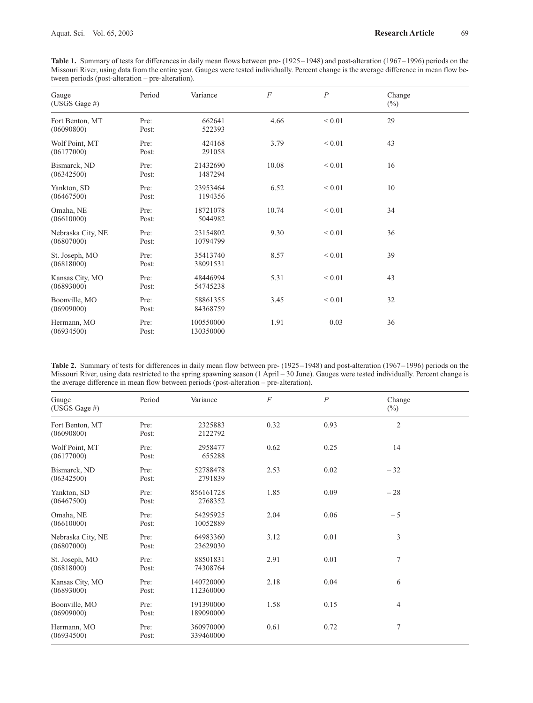**Table 1.** Summary of tests for differences in daily mean flows between pre- (1925–1948) and post-alteration (1967–1996) periods on the Missouri River, using data from the entire year. Gauges were tested individually. Percent change is the average difference in mean flow between periods (post-alteration – pre-alteration).

| Gauge<br>(USGS Gage #)          | Period        | Variance               | $\boldsymbol{F}$ | $\boldsymbol{P}$ | Change<br>$(\%)$ |  |
|---------------------------------|---------------|------------------------|------------------|------------------|------------------|--|
| Fort Benton, MT<br>(06090800)   | Pre:<br>Post: | 662641<br>522393       | 4.66             | ${}< 0.01$       | 29               |  |
| Wolf Point, MT<br>(06177000)    | Pre:<br>Post: | 424168<br>291058       | 3.79             | ${}< 0.01$       | 43               |  |
| Bismarck, ND<br>(06342500)      | Pre:<br>Post: | 21432690<br>1487294    | 10.08            | ${}< 0.01$       | 16               |  |
| Yankton, SD<br>(06467500)       | Pre:<br>Post: | 23953464<br>1194356    | 6.52             | ${}< 0.01$       | 10               |  |
| Omaha, NE<br>(06610000)         | Pre:<br>Post: | 18721078<br>5044982    | 10.74            | ${}_{0.01}$      | 34               |  |
| Nebraska City, NE<br>(06807000) | Pre:<br>Post: | 23154802<br>10794799   | 9.30             | ${}< 0.01$       | 36               |  |
| St. Joseph, MO<br>(06818000)    | Pre:<br>Post: | 35413740<br>38091531   | 8.57             | ${}_{0.01}$      | 39               |  |
| Kansas City, MO<br>(06893000)   | Pre:<br>Post: | 48446994<br>54745238   | 5.31             | ${}_{0.01}$      | 43               |  |
| Boonville, MO<br>(06909000)     | Pre:<br>Post: | 58861355<br>84368759   | 3.45             | ${}< 0.01$       | 32               |  |
| Hermann, MO<br>(06934500)       | Pre:<br>Post: | 100550000<br>130350000 | 1.91             | 0.03             | 36               |  |

|                                                                                         | <b>Table 2.</b> Summary of tests for differences in daily mean flow between pre- $(1925-1948)$ and post-alteration $(1967-1996)$ periods on the |
|-----------------------------------------------------------------------------------------|-------------------------------------------------------------------------------------------------------------------------------------------------|
|                                                                                         | Missouri River, using data restricted to the spring spawning season (1 April – 30 June). Gauges were tested individually. Percent change is     |
| the average difference in mean flow between periods (post-alteration – pre-alteration). |                                                                                                                                                 |

| Gauge<br>(USGS Gage #)          | Period        | Variance               | $\overline{F}$ | $\overline{P}$ | Change<br>$(\%)$ |  |
|---------------------------------|---------------|------------------------|----------------|----------------|------------------|--|
| Fort Benton, MT<br>(06090800)   | Pre:<br>Post: | 2325883<br>2122792     | 0.32           | 0.93           | $\overline{2}$   |  |
| Wolf Point, MT<br>(06177000)    | Pre:<br>Post: | 2958477<br>655288      | 0.62           | 0.25           | 14               |  |
| Bismarck, ND<br>(06342500)      | Pre:<br>Post: | 52788478<br>2791839    | 2.53           | 0.02           | $-32$            |  |
| Yankton, SD<br>(06467500)       | Pre:<br>Post: | 856161728<br>2768352   | 1.85           | 0.09           | $-28$            |  |
| Omaha, NE<br>(06610000)         | Pre:<br>Post: | 54295925<br>10052889   | 2.04           | 0.06           | $-5$             |  |
| Nebraska City, NE<br>(06807000) | Pre:<br>Post: | 64983360<br>23629030   | 3.12           | 0.01           | 3                |  |
| St. Joseph, MO<br>(06818000)    | Pre:<br>Post: | 88501831<br>74308764   | 2.91           | 0.01           | 7                |  |
| Kansas City, MO<br>(06893000)   | Pre:<br>Post: | 140720000<br>112360000 | 2.18           | 0.04           | 6                |  |
| Boonville, MO<br>(06909000)     | Pre:<br>Post: | 191390000<br>189090000 | 1.58           | 0.15           | 4                |  |
| Hermann, MO<br>(06934500)       | Pre:<br>Post: | 360970000<br>339460000 | 0.61           | 0.72           | 7                |  |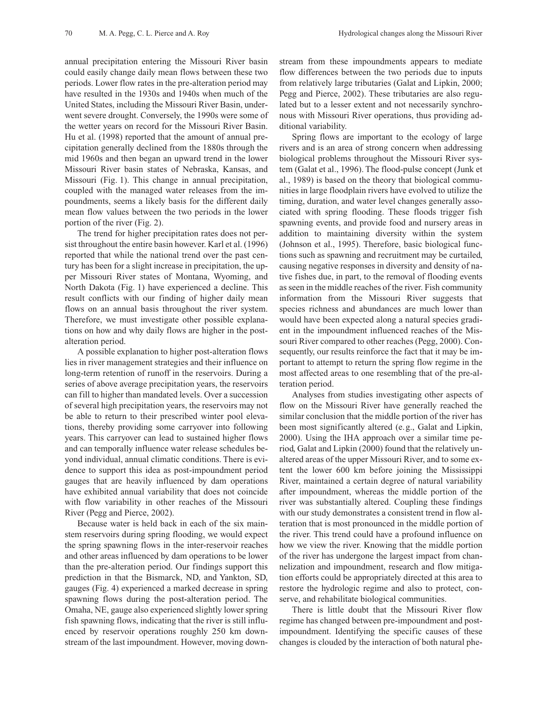annual precipitation entering the Missouri River basin could easily change daily mean flows between these two periods. Lower flow rates in the pre-alteration period may have resulted in the 1930s and 1940s when much of the United States, including the Missouri River Basin, underwent severe drought. Conversely, the 1990s were some of the wetter years on record for the Missouri River Basin. Hu et al. (1998) reported that the amount of annual precipitation generally declined from the 1880s through the mid 1960s and then began an upward trend in the lower Missouri River basin states of Nebraska, Kansas, and Missouri (Fig. 1). This change in annual precipitation, coupled with the managed water releases from the impoundments, seems a likely basis for the different daily mean flow values between the two periods in the lower portion of the river (Fig. 2).

The trend for higher precipitation rates does not persist throughout the entire basin however. Karl et al. (1996) reported that while the national trend over the past century has been for a slight increase in precipitation, the upper Missouri River states of Montana, Wyoming, and North Dakota (Fig. 1) have experienced a decline. This result conflicts with our finding of higher daily mean flows on an annual basis throughout the river system. Therefore, we must investigate other possible explanations on how and why daily flows are higher in the postalteration period.

A possible explanation to higher post-alteration flows lies in river management strategies and their influence on long-term retention of runoff in the reservoirs. During a series of above average precipitation years, the reservoirs can fill to higher than mandated levels. Over a succession of several high precipitation years, the reservoirs may not be able to return to their prescribed winter pool elevations, thereby providing some carryover into following years. This carryover can lead to sustained higher flows and can temporally influence water release schedules beyond individual, annual climatic conditions. There is evidence to support this idea as post-impoundment period gauges that are heavily influenced by dam operations have exhibited annual variability that does not coincide with flow variability in other reaches of the Missouri River (Pegg and Pierce, 2002).

Because water is held back in each of the six mainstem reservoirs during spring flooding, we would expect the spring spawning flows in the inter-reservoir reaches and other areas influenced by dam operations to be lower than the pre-alteration period. Our findings support this prediction in that the Bismarck, ND, and Yankton, SD, gauges (Fig. 4) experienced a marked decrease in spring spawning flows during the post-alteration period. The Omaha, NE, gauge also experienced slightly lower spring fish spawning flows, indicating that the river is still influenced by reservoir operations roughly 250 km downstream of the last impoundment. However, moving downstream from these impoundments appears to mediate flow differences between the two periods due to inputs from relatively large tributaries (Galat and Lipkin, 2000; Pegg and Pierce, 2002). These tributaries are also regulated but to a lesser extent and not necessarily synchronous with Missouri River operations, thus providing additional variability.

Spring flows are important to the ecology of large rivers and is an area of strong concern when addressing biological problems throughout the Missouri River system (Galat et al., 1996). The flood-pulse concept (Junk et al., 1989) is based on the theory that biological communities in large floodplain rivers have evolved to utilize the timing, duration, and water level changes generally associated with spring flooding. These floods trigger fish spawning events, and provide food and nursery areas in addition to maintaining diversity within the system (Johnson et al., 1995). Therefore, basic biological functions such as spawning and recruitment may be curtailed, causing negative responses in diversity and density of native fishes due, in part, to the removal of flooding events as seen in the middle reaches of the river. Fish community information from the Missouri River suggests that species richness and abundances are much lower than would have been expected along a natural species gradient in the impoundment influenced reaches of the Missouri River compared to other reaches (Pegg, 2000). Consequently, our results reinforce the fact that it may be important to attempt to return the spring flow regime in the most affected areas to one resembling that of the pre-alteration period.

Analyses from studies investigating other aspects of flow on the Missouri River have generally reached the similar conclusion that the middle portion of the river has been most significantly altered (e.g., Galat and Lipkin, 2000). Using the IHA approach over a similar time period, Galat and Lipkin (2000) found that the relatively unaltered areas of the upper Missouri River, and to some extent the lower 600 km before joining the Mississippi River, maintained a certain degree of natural variability after impoundment, whereas the middle portion of the river was substantially altered. Coupling these findings with our study demonstrates a consistent trend in flow alteration that is most pronounced in the middle portion of the river. This trend could have a profound influence on how we view the river. Knowing that the middle portion of the river has undergone the largest impact from channelization and impoundment, research and flow mitigation efforts could be appropriately directed at this area to restore the hydrologic regime and also to protect, conserve, and rehabilitate biological communities.

There is little doubt that the Missouri River flow regime has changed between pre-impoundment and postimpoundment. Identifying the specific causes of these changes is clouded by the interaction of both natural phe-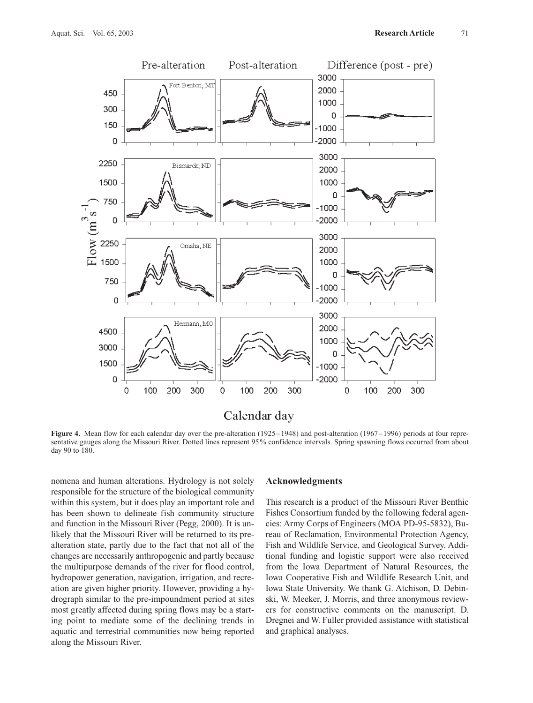

**Figure 4.** Mean flow for each calendar day over the pre-alteration (1925–1948) and post-alteration (1967–1996) periods at four representative gauges along the Missouri River. Dotted lines represent 95% confidence intervals. Spring spawning flows occurred from about day 90 to 180.

nomena and human alterations. Hydrology is not solely responsible for the structure of the biological community within this system, but it does play an important role and has been shown to delineate fish community structure and function in the Missouri River (Pegg, 2000). It is unlikely that the Missouri River will be returned to its prealteration state, partly due to the fact that not all of the changes are necessarily anthropogenic and partly because the multipurpose demands of the river for flood control, hydropower generation, navigation, irrigation, and recreation are given higher priority. However, providing a hydrograph similar to the pre-impoundment period at sites most greatly affected during spring flows may be a starting point to mediate some of the declining trends in aquatic and terrestrial communities now being reported along the Missouri River.

#### **Acknowledgments**

This research is a product of the Missouri River Benthic Fishes Consortium funded by the following federal agencies: Army Corps of Engineers (MOA PD-95-5832), Bureau of Reclamation, Environmental Protection Agency, Fish and Wildlife Service, and Geological Survey. Additional funding and logistic support were also received from the Iowa Department of Natural Resources, the Iowa Cooperative Fish and Wildlife Research Unit, and Iowa State University. We thank G. Atchison, D. Debinski, W. Meeker, J. Morris, and three anonymous reviewers for constructive comments on the manuscript. D. Dregnei and W. Fuller provided assistance with statistical and graphical analyses.